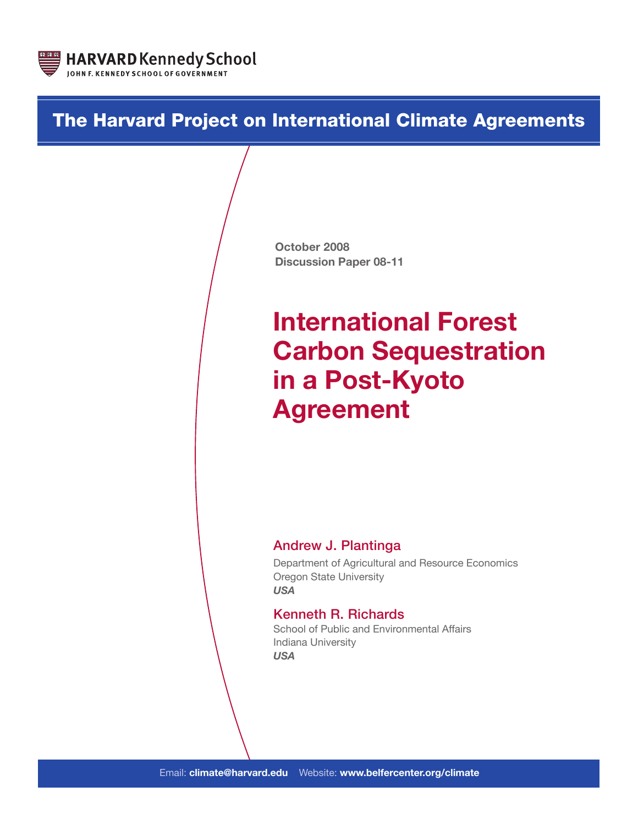

### The Harvard Project on International Climate Agreements

**October 2008 Discussion Paper 08-11**

# **International Forest Carbon Sequestration in a Post-Kyoto Agreement**

#### Andrew J. Plantinga

Department of Agricultural and Resource Economics Oregon State University *USA*

#### Kenneth R. Richards

School of Public and Environmental Affairs Indiana University *USA*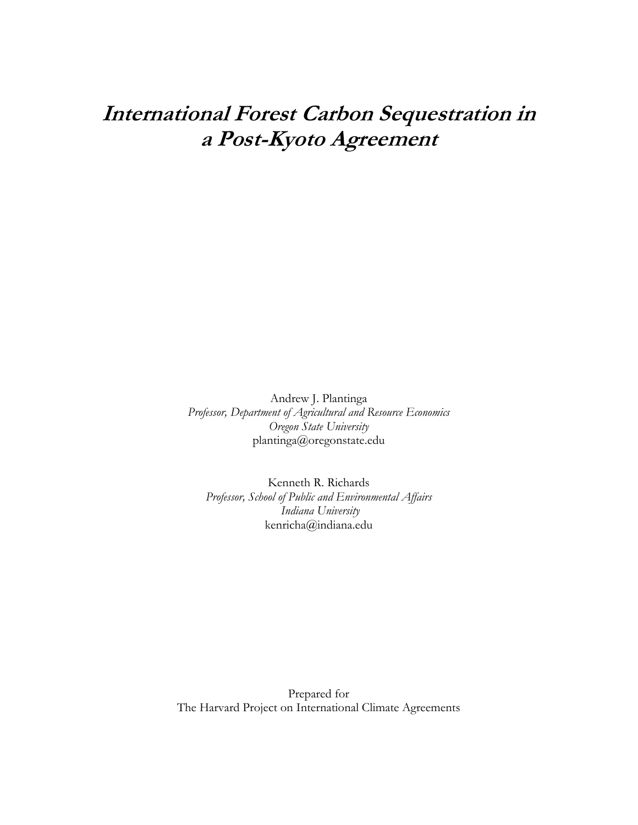## **International Forest Carbon Sequestration in a Post-Kyoto Agreement**

Andrew J. Plantinga *Professor, Department of Agricultural and Resource Economics Oregon State University*  plantinga@oregonstate.edu

Kenneth R. Richards *Professor, School of Public and Environmental Affairs Indiana University*  kenricha@indiana.edu

Prepared for The Harvard Project on International Climate Agreements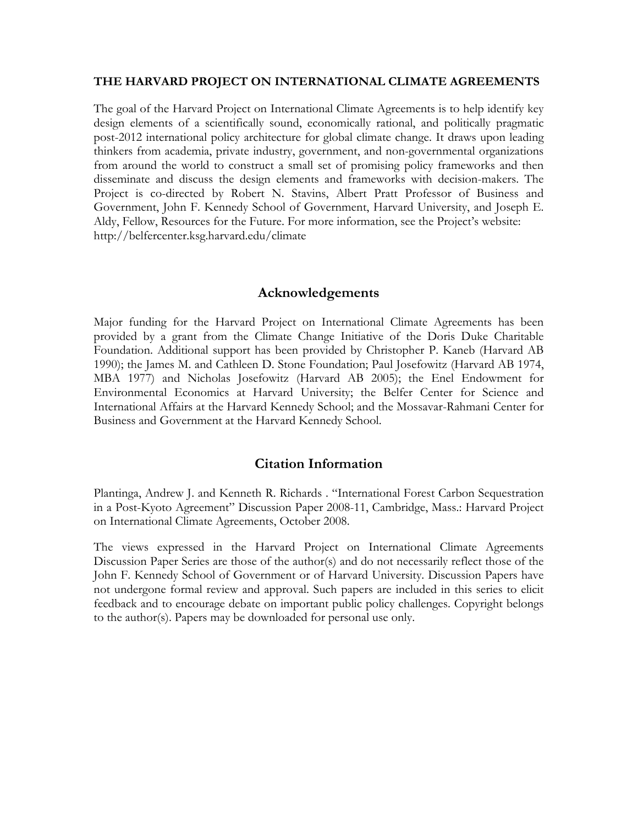#### **THE HARVARD PROJECT ON INTERNATIONAL CLIMATE AGREEMENTS**

The goal of the Harvard Project on International Climate Agreements is to help identify key design elements of a scientifically sound, economically rational, and politically pragmatic post-2012 international policy architecture for global climate change. It draws upon leading thinkers from academia, private industry, government, and non-governmental organizations from around the world to construct a small set of promising policy frameworks and then disseminate and discuss the design elements and frameworks with decision-makers. The Project is co-directed by Robert N. Stavins, Albert Pratt Professor of Business and Government, John F. Kennedy School of Government, Harvard University, and Joseph E. Aldy, Fellow, Resources for the Future. For more information, see the Project's website: http://belfercenter.ksg.harvard.edu/climate

#### **Acknowledgements**

Major funding for the Harvard Project on International Climate Agreements has been provided by a grant from the Climate Change Initiative of the Doris Duke Charitable Foundation. Additional support has been provided by Christopher P. Kaneb (Harvard AB 1990); the James M. and Cathleen D. Stone Foundation; Paul Josefowitz (Harvard AB 1974, MBA 1977) and Nicholas Josefowitz (Harvard AB 2005); the Enel Endowment for Environmental Economics at Harvard University; the Belfer Center for Science and International Affairs at the Harvard Kennedy School; and the Mossavar-Rahmani Center for Business and Government at the Harvard Kennedy School.

#### **Citation Information**

Plantinga, Andrew J. and Kenneth R. Richards . "International Forest Carbon Sequestration in a Post-Kyoto Agreement" Discussion Paper 2008-11, Cambridge, Mass.: Harvard Project on International Climate Agreements, October 2008.

The views expressed in the Harvard Project on International Climate Agreements Discussion Paper Series are those of the author(s) and do not necessarily reflect those of the John F. Kennedy School of Government or of Harvard University. Discussion Papers have not undergone formal review and approval. Such papers are included in this series to elicit feedback and to encourage debate on important public policy challenges. Copyright belongs to the author(s). Papers may be downloaded for personal use only.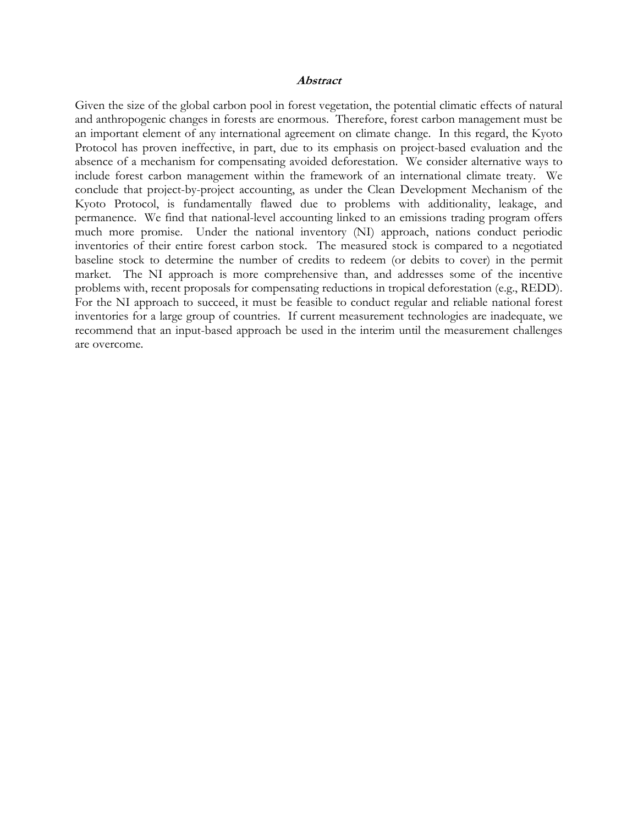#### **Abstract**

Given the size of the global carbon pool in forest vegetation, the potential climatic effects of natural and anthropogenic changes in forests are enormous. Therefore, forest carbon management must be an important element of any international agreement on climate change. In this regard, the Kyoto Protocol has proven ineffective, in part, due to its emphasis on project-based evaluation and the absence of a mechanism for compensating avoided deforestation. We consider alternative ways to include forest carbon management within the framework of an international climate treaty. We conclude that project-by-project accounting, as under the Clean Development Mechanism of the Kyoto Protocol, is fundamentally flawed due to problems with additionality, leakage, and permanence. We find that national-level accounting linked to an emissions trading program offers much more promise. Under the national inventory (NI) approach, nations conduct periodic inventories of their entire forest carbon stock. The measured stock is compared to a negotiated baseline stock to determine the number of credits to redeem (or debits to cover) in the permit market. The NI approach is more comprehensive than, and addresses some of the incentive problems with, recent proposals for compensating reductions in tropical deforestation (e.g., REDD). For the NI approach to succeed, it must be feasible to conduct regular and reliable national forest inventories for a large group of countries. If current measurement technologies are inadequate, we recommend that an input-based approach be used in the interim until the measurement challenges are overcome.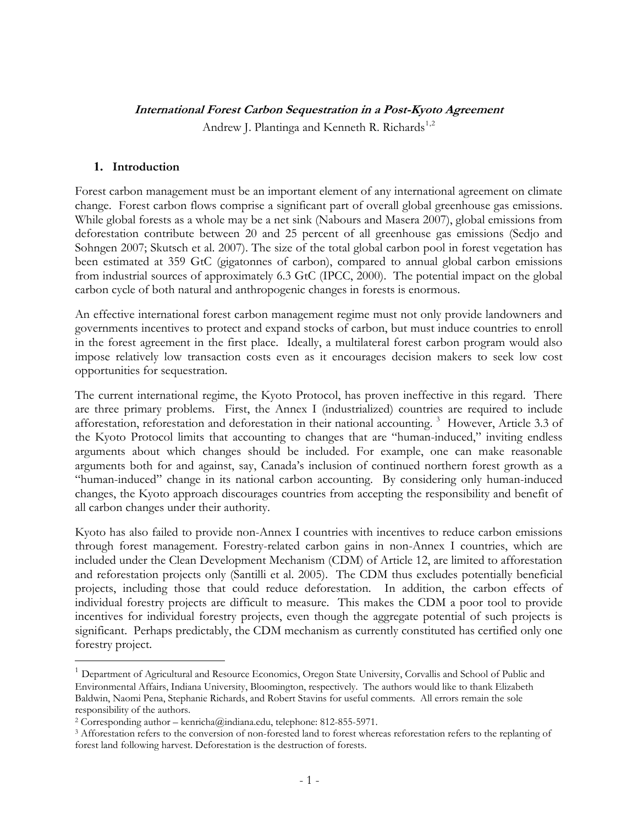#### **International Forest Carbon Sequestration in a Post-Kyoto Agreement**

Andrew J. Plantinga and Kenneth R. Richards<sup>[1](#page-6-0),[2](#page-6-1)</sup>

#### **1. Introduction**

 $\overline{a}$ 

Forest carbon management must be an important element of any international agreement on climate change. Forest carbon flows comprise a significant part of overall global greenhouse gas emissions. While global forests as a whole may be a net sink (Nabours and Masera 2007), global emissions from deforestation contribute between 20 and 25 percent of all greenhouse gas emissions (Sedjo and Sohngen 2007; Skutsch et al. 2007). The size of the total global carbon pool in forest vegetation has been estimated at 359 GtC (gigatonnes of carbon), compared to annual global carbon emissions from industrial sources of approximately 6.3 GtC (IPCC, 2000). The potential impact on the global carbon cycle of both natural and anthropogenic changes in forests is enormous.

An effective international forest carbon management regime must not only provide landowners and governments incentives to protect and expand stocks of carbon, but must induce countries to enroll in the forest agreement in the first place. Ideally, a multilateral forest carbon program would also impose relatively low transaction costs even as it encourages decision makers to seek low cost opportunities for sequestration.

The current international regime, the Kyoto Protocol, has proven ineffective in this regard. There are three primary problems. First, the Annex I (industrialized) countries are required to include afforestation, reforestation and deforestation in their national accounting.<sup>[3](#page-6-2)</sup> However, Article 3.3 of the Kyoto Protocol limits that accounting to changes that are "human-induced," inviting endless arguments about which changes should be included. For example, one can make reasonable arguments both for and against, say, Canada^s inclusion of continued northern forest growth as a "human-induced" change in its national carbon accounting. By considering only human-induced changes, the Kyoto approach discourages countries from accepting the responsibility and benefit of all carbon changes under their authority.

Kyoto has also failed to provide non-Annex I countries with incentives to reduce carbon emissions through forest management. Forestry-related carbon gains in non-Annex I countries, which are included under the Clean Development Mechanism (CDM) of Article 12, are limited to afforestation and reforestation projects only (Santilli et al. 2005). The CDM thus excludes potentially beneficial projects, including those that could reduce deforestation. In addition, the carbon effects of individual forestry projects are difficult to measure. This makes the CDM a poor tool to provide incentives for individual forestry projects, even though the aggregate potential of such projects is significant. Perhaps predictably, the CDM mechanism as currently constituted has certified only one forestry project.

<span id="page-6-0"></span><sup>&</sup>lt;sup>1</sup> Department of Agricultural and Resource Economics, Oregon State University, Corvallis and School of Public and Environmental Affairs, Indiana University, Bloomington, respectively. The authors would like to thank Elizabeth Baldwin, Naomi Pena, Stephanie Richards, and Robert Stavins for useful comments. All errors remain the sole responsibility of the authors.<br><sup>2</sup> Corresponding author – kenricha@indiana.edu, telephone: 812-855-5971.

<span id="page-6-1"></span>

<span id="page-6-2"></span><sup>&</sup>lt;sup>3</sup> Afforestation refers to the conversion of non-forested land to forest whereas reforestation refers to the replanting of forest land following harvest. Deforestation is the destruction of forests.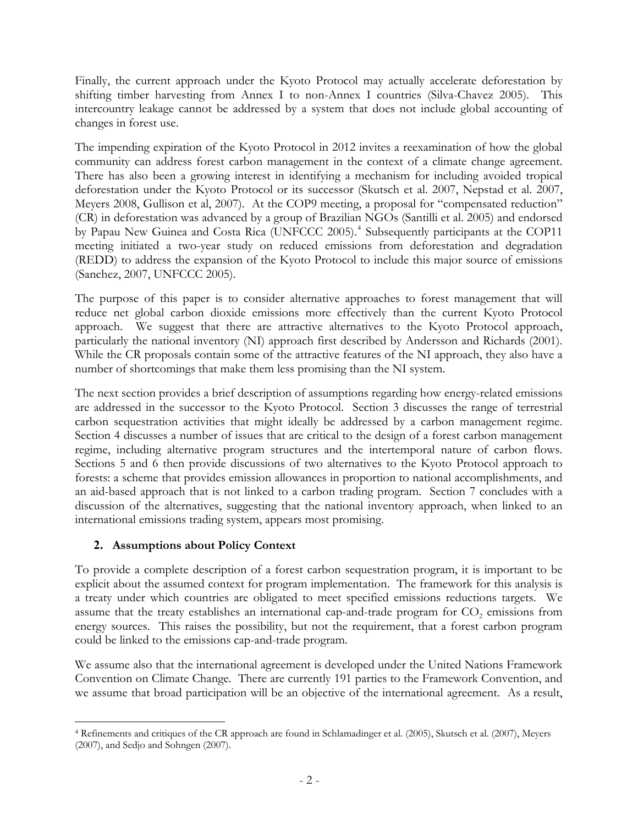Finally, the current approach under the Kyoto Protocol may actually accelerate deforestation by shifting timber harvesting from Annex I to non-Annex I countries (Silva-Chavez 2005). This intercountry leakage cannot be addressed by a system that does not include global accounting of changes in forest use.

The impending expiration of the Kyoto Protocol in 2012 invites a reexamination of how the global community can address forest carbon management in the context of a climate change agreement. There has also been a growing interest in identifying a mechanism for including avoided tropical deforestation under the Kyoto Protocol or its successor (Skutsch et al. 2007, Nepstad et al. 2007, Meyers 2008, Gullison et al, 2007). At the COP9 meeting, a proposal for "compensated reduction" (CR) in deforestation was advanced by a group of Brazilian NGOs (Santilli et al. 2005) and endorsed by Papau New Guinea and Costa Rica (UNFCCC 2005).<sup>[4](#page-7-0)</sup> Subsequently participants at the COP11 meeting initiated a two-year study on reduced emissions from deforestation and degradation (REDD) to address the expansion of the Kyoto Protocol to include this major source of emissions (Sanchez, 2007, UNFCCC 2005).

The purpose of this paper is to consider alternative approaches to forest management that will reduce net global carbon dioxide emissions more effectively than the current Kyoto Protocol approach. We suggest that there are attractive alternatives to the Kyoto Protocol approach, particularly the national inventory (NI) approach first described by Andersson and Richards (2001). While the CR proposals contain some of the attractive features of the NI approach, they also have a number of shortcomings that make them less promising than the NI system.

The next section provides a brief description of assumptions regarding how energy-related emissions are addressed in the successor to the Kyoto Protocol. Section 3 discusses the range of terrestrial carbon sequestration activities that might ideally be addressed by a carbon management regime. Section 4 discusses a number of issues that are critical to the design of a forest carbon management regime, including alternative program structures and the intertemporal nature of carbon flows. Sections 5 and 6 then provide discussions of two alternatives to the Kyoto Protocol approach to forests: a scheme that provides emission allowances in proportion to national accomplishments, and an aid-based approach that is not linked to a carbon trading program. Section 7 concludes with a discussion of the alternatives, suggesting that the national inventory approach, when linked to an international emissions trading system, appears most promising.

#### **2. Assumptions about Policy Context**

To provide a complete description of a forest carbon sequestration program, it is important to be explicit about the assumed context for program implementation. The framework for this analysis is a treaty under which countries are obligated to meet specified emissions reductions targets. We assume that the treaty establishes an international cap-and-trade program for  $CO<sub>2</sub>$  emissions from energy sources. This raises the possibility, but not the requirement, that a forest carbon program could be linked to the emissions cap-and-trade program.

We assume also that the international agreement is developed under the United Nations Framework Convention on Climate Change. There are currently 191 parties to the Framework Convention, and we assume that broad participation will be an objective of the international agreement. As a result,

<span id="page-7-0"></span> $\overline{a}$ 4 Refinements and critiques of the CR approach are found in Schlamadinger et al. (2005), Skutsch et al. (2007), Meyers (2007), and Sedjo and Sohngen (2007).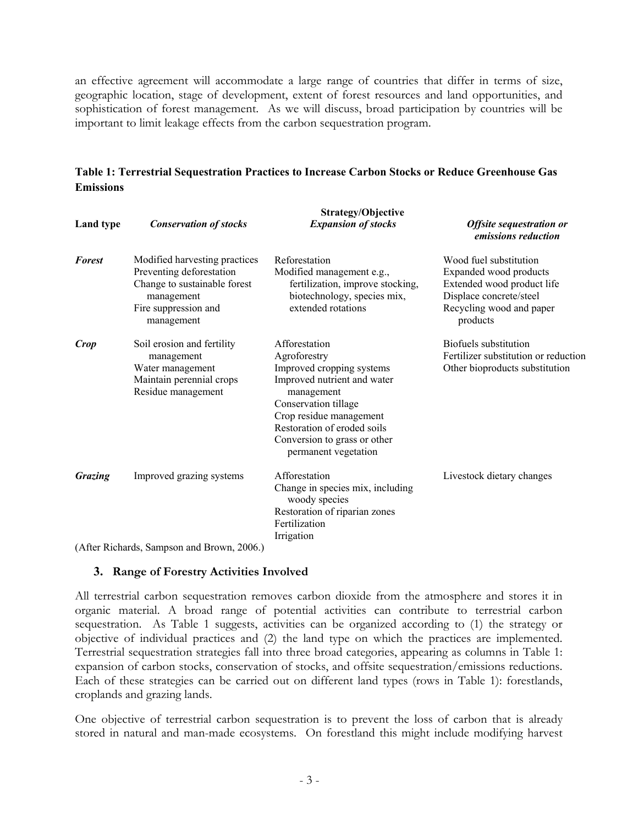an effective agreement will accommodate a large range of countries that differ in terms of size, geographic location, stage of development, extent of forest resources and land opportunities, and sophistication of forest management. As we will discuss, broad participation by countries will be important to limit leakage effects from the carbon sequestration program.

#### **Table 1: Terrestrial Sequestration Practices to Increase Carbon Stocks or Reduce Greenhouse Gas Emissions**

| Land type     | <b>Conservation of stocks</b>                                                                                                                 | Strategy/Objective<br><b>Expansion of stocks</b>                                                                                                                                                                                                  | Offsite sequestration or<br>emissions reduction                                                                                                   |
|---------------|-----------------------------------------------------------------------------------------------------------------------------------------------|---------------------------------------------------------------------------------------------------------------------------------------------------------------------------------------------------------------------------------------------------|---------------------------------------------------------------------------------------------------------------------------------------------------|
| <b>Forest</b> | Modified harvesting practices<br>Preventing deforestation<br>Change to sustainable forest<br>management<br>Fire suppression and<br>management | Reforestation<br>Modified management e.g.,<br>fertilization, improve stocking,<br>biotechnology, species mix,<br>extended rotations                                                                                                               | Wood fuel substitution<br>Expanded wood products<br>Extended wood product life<br>Displace concrete/steel<br>Recycling wood and paper<br>products |
| <b>Crop</b>   | Soil erosion and fertility<br>management<br>Water management<br>Maintain perennial crops<br>Residue management                                | Afforestation<br>Agroforestry<br>Improved cropping systems<br>Improved nutrient and water<br>management<br>Conservation tillage<br>Crop residue management<br>Restoration of eroded soils<br>Conversion to grass or other<br>permanent vegetation | Biofuels substitution<br>Fertilizer substitution or reduction<br>Other bioproducts substitution                                                   |
| Grazing       | Improved grazing systems<br>$(10 \text{ N}^2 + 10$<br>$\mathbf{1}$ $\mathbf{D}$<br>$\Omega$                                                   | Afforestation<br>Change in species mix, including<br>woody species<br>Restoration of riparian zones<br>Fertilization<br>Irrigation                                                                                                                | Livestock dietary changes                                                                                                                         |

(After Richards, Sampson and Brown, 2006.)

#### **3. Range of Forestry Activities Involved**

All terrestrial carbon sequestration removes carbon dioxide from the atmosphere and stores it in organic material. A broad range of potential activities can contribute to terrestrial carbon sequestration. As Table 1 suggests, activities can be organized according to (1) the strategy or objective of individual practices and (2) the land type on which the practices are implemented. Terrestrial sequestration strategies fall into three broad categories, appearing as columns in Table 1: expansion of carbon stocks, conservation of stocks, and offsite sequestration/emissions reductions. Each of these strategies can be carried out on different land types (rows in Table 1): forestlands, croplands and grazing lands.

One objective of terrestrial carbon sequestration is to prevent the loss of carbon that is already stored in natural and man-made ecosystems. On forestland this might include modifying harvest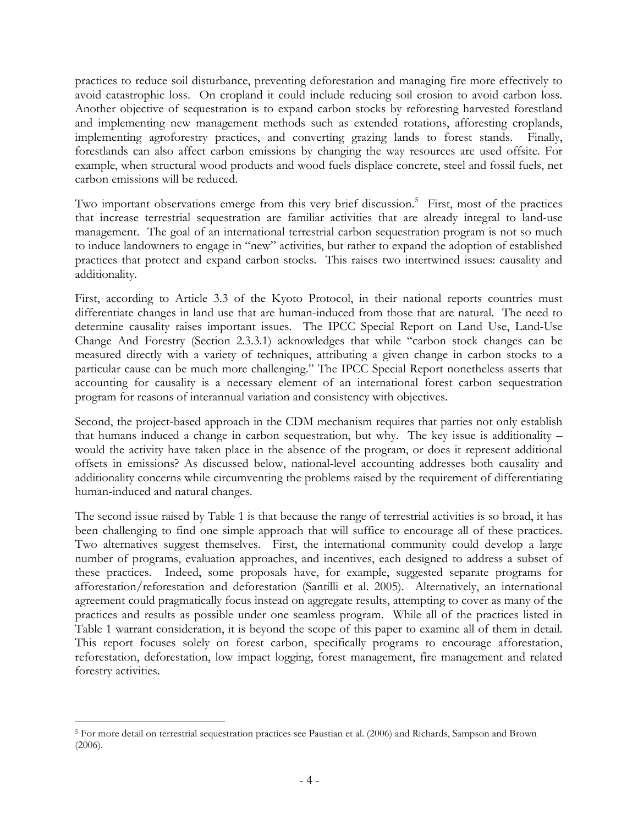practices to reduce soil disturbance, preventing deforestation and managing fire more effectively to avoid catastrophic loss. On cropland it could include reducing soil erosion to avoid carbon loss. Another objective of sequestration is to expand carbon stocks by reforesting harvested forestland and implementing new management methods such as extended rotations, afforesting croplands, implementing agroforestry practices, and converting grazing lands to forest stands. Finally, forestlands can also affect carbon emissions by changing the way resources are used offsite. For example, when structural wood products and wood fuels displace concrete, steel and fossil fuels, net carbon emissions will be reduced.

Two important observations emerge from this very brief discussion.<sup>[5](#page-9-0)</sup> First, most of the practices that increase terrestrial sequestration are familiar activities that are already integral to land-use management. The goal of an international terrestrial carbon sequestration program is not so much to induce landowners to engage in "new" activities, but rather to expand the adoption of established practices that protect and expand carbon stocks. This raises two intertwined issues: causality and additionality.

First, according to Article 3.3 of the Kyoto Protocol, in their national reports countries must differentiate changes in land use that are human-induced from those that are natural. The need to determine causality raises important issues. The IPCC Special Report on Land Use, Land-Use Change And Forestry (Section 2.3.3.1) acknowledges that while "carbon stock changes can be measured directly with a variety of techniques, attributing a given change in carbon stocks to a particular cause can be much more challenging." The IPCC Special Report nonetheless asserts that accounting for causality is a necessary element of an international forest carbon sequestration program for reasons of interannual variation and consistency with objectives.

Second, the project-based approach in the CDM mechanism requires that parties not only establish that humans induced a change in carbon sequestration, but why. The key issue is additionality  $$ would the activity have taken place in the absence of the program, or does it represent additional offsets in emissions? As discussed below, national-level accounting addresses both causality and additionality concerns while circumventing the problems raised by the requirement of differentiating human-induced and natural changes.

The second issue raised by Table 1 is that because the range of terrestrial activities is so broad, it has been challenging to find one simple approach that will suffice to encourage all of these practices. Two alternatives suggest themselves. First, the international community could develop a large number of programs, evaluation approaches, and incentives, each designed to address a subset of these practices. Indeed, some proposals have, for example, suggested separate programs for afforestation/reforestation and deforestation (Santilli et al. 2005). Alternatively, an international agreement could pragmatically focus instead on aggregate results, attempting to cover as many of the practices and results as possible under one seamless program. While all of the practices listed in Table 1 warrant consideration, it is beyond the scope of this paper to examine all of them in detail. This report focuses solely on forest carbon, specifically programs to encourage afforestation, reforestation, deforestation, low impact logging, forest management, fire management and related forestry activities.

<span id="page-9-0"></span> $\overline{a}$ 5 For more detail on terrestrial sequestration practices see Paustian et al. (2006) and Richards, Sampson and Brown (2006).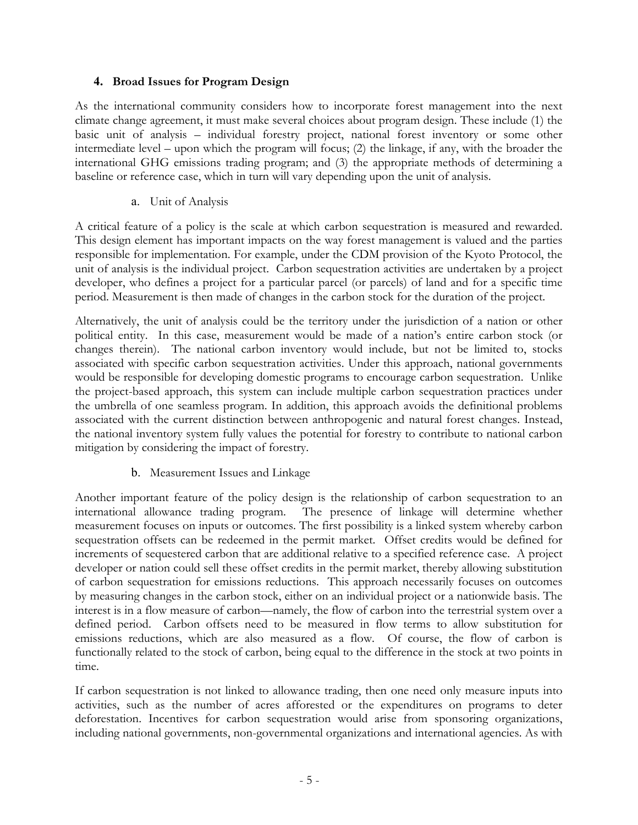#### **4. Broad Issues for Program Design**

As the international community considers how to incorporate forest management into the next climate change agreement, it must make several choices about program design. These include (1) the basic unit of analysis – individual forestry project, national forest inventory or some other intermediate level – upon which the program will focus; (2) the linkage, if any, with the broader the international GHG emissions trading program; and (3) the appropriate methods of determining a baseline or reference case, which in turn will vary depending upon the unit of analysis.

#### a. Unit of Analysis

A critical feature of a policy is the scale at which carbon sequestration is measured and rewarded. This design element has important impacts on the way forest management is valued and the parties responsible for implementation. For example, under the CDM provision of the Kyoto Protocol, the unit of analysis is the individual project. Carbon sequestration activities are undertaken by a project developer, who defines a project for a particular parcel (or parcels) of land and for a specific time period. Measurement is then made of changes in the carbon stock for the duration of the project.

Alternatively, the unit of analysis could be the territory under the jurisdiction of a nation or other political entity. In this case, measurement would be made of a nation^s entire carbon stock (or changes therein). The national carbon inventory would include, but not be limited to, stocks associated with specific carbon sequestration activities. Under this approach, national governments would be responsible for developing domestic programs to encourage carbon sequestration. Unlike the project-based approach, this system can include multiple carbon sequestration practices under the umbrella of one seamless program. In addition, this approach avoids the definitional problems associated with the current distinction between anthropogenic and natural forest changes. Instead, the national inventory system fully values the potential for forestry to contribute to national carbon mitigation by considering the impact of forestry.

b. Measurement Issues and Linkage

Another important feature of the policy design is the relationship of carbon sequestration to an international allowance trading program. The presence of linkage will determine whether measurement focuses on inputs or outcomes. The first possibility is a linked system whereby carbon sequestration offsets can be redeemed in the permit market. Offset credits would be defined for increments of sequestered carbon that are additional relative to a specified reference case. A project developer or nation could sell these offset credits in the permit market, thereby allowing substitution of carbon sequestration for emissions reductions. This approach necessarily focuses on outcomes by measuring changes in the carbon stock, either on an individual project or a nationwide basis. The interest is in a flow measure of carbon—namely, the flow of carbon into the terrestrial system over a defined period. Carbon offsets need to be measured in flow terms to allow substitution for emissions reductions, which are also measured as a flow. Of course, the flow of carbon is functionally related to the stock of carbon, being equal to the difference in the stock at two points in time.

If carbon sequestration is not linked to allowance trading, then one need only measure inputs into activities, such as the number of acres afforested or the expenditures on programs to deter deforestation. Incentives for carbon sequestration would arise from sponsoring organizations, including national governments, non-governmental organizations and international agencies. As with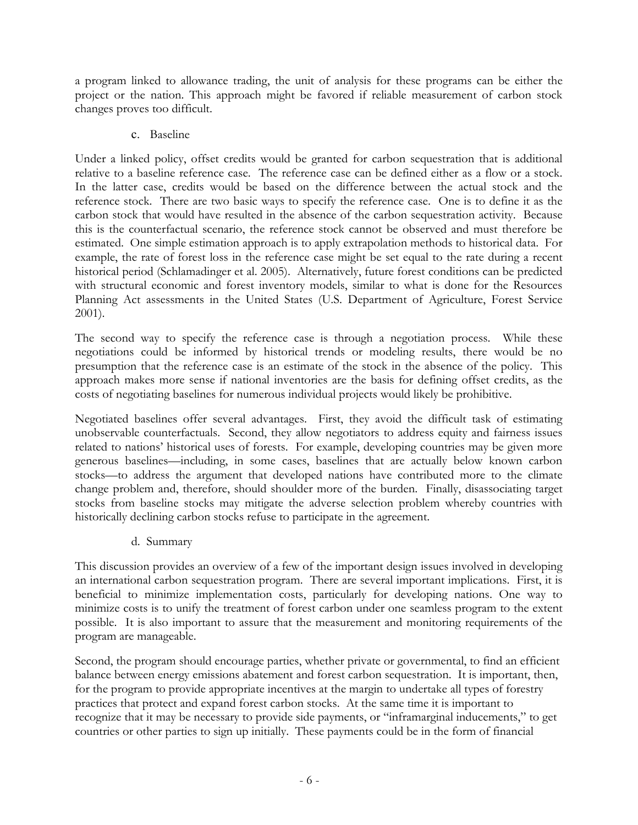a program linked to allowance trading, the unit of analysis for these programs can be either the project or the nation. This approach might be favored if reliable measurement of carbon stock changes proves too difficult.

#### c. Baseline

Under a linked policy, offset credits would be granted for carbon sequestration that is additional relative to a baseline reference case. The reference case can be defined either as a flow or a stock. In the latter case, credits would be based on the difference between the actual stock and the reference stock. There are two basic ways to specify the reference case. One is to define it as the carbon stock that would have resulted in the absence of the carbon sequestration activity. Because this is the counterfactual scenario, the reference stock cannot be observed and must therefore be estimated. One simple estimation approach is to apply extrapolation methods to historical data. For example, the rate of forest loss in the reference case might be set equal to the rate during a recent historical period (Schlamadinger et al. 2005). Alternatively, future forest conditions can be predicted with structural economic and forest inventory models, similar to what is done for the Resources Planning Act assessments in the United States (U.S. Department of Agriculture, Forest Service 2001).

The second way to specify the reference case is through a negotiation process. While these negotiations could be informed by historical trends or modeling results, there would be no presumption that the reference case is an estimate of the stock in the absence of the policy. This approach makes more sense if national inventories are the basis for defining offset credits, as the costs of negotiating baselines for numerous individual projects would likely be prohibitive.

Negotiated baselines offer several advantages. First, they avoid the difficult task of estimating unobservable counterfactuals. Second, they allow negotiators to address equity and fairness issues related to nations' historical uses of forests. For example, developing countries may be given more generous baselines—including, in some cases, baselines that are actually below known carbon stocks-to address the argument that developed nations have contributed more to the climate change problem and, therefore, should shoulder more of the burden. Finally, disassociating target stocks from baseline stocks may mitigate the adverse selection problem whereby countries with historically declining carbon stocks refuse to participate in the agreement.

d. Summary

This discussion provides an overview of a few of the important design issues involved in developing an international carbon sequestration program. There are several important implications. First, it is beneficial to minimize implementation costs, particularly for developing nations. One way to minimize costs is to unify the treatment of forest carbon under one seamless program to the extent possible. It is also important to assure that the measurement and monitoring requirements of the program are manageable.

Second, the program should encourage parties, whether private or governmental, to find an efficient balance between energy emissions abatement and forest carbon sequestration. It is important, then, for the program to provide appropriate incentives at the margin to undertake all types of forestry practices that protect and expand forest carbon stocks. At the same time it is important to recognize that it may be necessary to provide side payments, or "inframarginal inducements," to get countries or other parties to sign up initially. These payments could be in the form of financial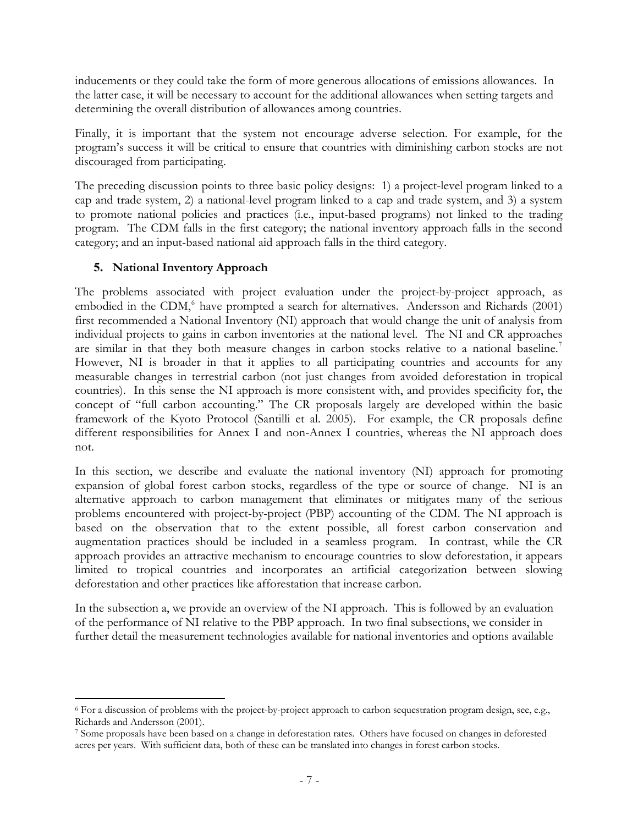inducements or they could take the form of more generous allocations of emissions allowances. In the latter case, it will be necessary to account for the additional allowances when setting targets and determining the overall distribution of allowances among countries.

Finally, it is important that the system not encourage adverse selection. For example, for the program's success it will be critical to ensure that countries with diminishing carbon stocks are not discouraged from participating.

The preceding discussion points to three basic policy designs: 1) a project-level program linked to a cap and trade system, 2) a national-level program linked to a cap and trade system, and 3) a system to promote national policies and practices (i.e., input-based programs) not linked to the trading program. The CDM falls in the first category; the national inventory approach falls in the second category; and an input-based national aid approach falls in the third category.

#### **5. National Inventory Approach**

1

The problems associated with project evaluation under the project-by-project approach, as embodied in the CDM,<sup>[6](#page-12-0)</sup> have prompted a search for alternatives. Andersson and Richards (2001) first recommended a National Inventory (NI) approach that would change the unit of analysis from individual projects to gains in carbon inventories at the national level. The NI and CR approaches are similar in that they both measure changes in carbon stocks relative to a national baseline.<sup>[7](#page-12-1)</sup> However, NI is broader in that it applies to all participating countries and accounts for any measurable changes in terrestrial carbon (not just changes from avoided deforestation in tropical countries). In this sense the NI approach is more consistent with, and provides specificity for, the concept of "full carbon accounting." The CR proposals largely are developed within the basic framework of the Kyoto Protocol (Santilli et al. 2005). For example, the CR proposals define different responsibilities for Annex I and non-Annex I countries, whereas the NI approach does not.

In this section, we describe and evaluate the national inventory (NI) approach for promoting expansion of global forest carbon stocks, regardless of the type or source of change. NI is an alternative approach to carbon management that eliminates or mitigates many of the serious problems encountered with project-by-project (PBP) accounting of the CDM. The NI approach is based on the observation that to the extent possible, all forest carbon conservation and augmentation practices should be included in a seamless program. In contrast, while the CR approach provides an attractive mechanism to encourage countries to slow deforestation, it appears limited to tropical countries and incorporates an artificial categorization between slowing deforestation and other practices like afforestation that increase carbon.

In the subsection a, we provide an overview of the NI approach. This is followed by an evaluation of the performance of NI relative to the PBP approach. In two final subsections, we consider in further detail the measurement technologies available for national inventories and options available

<span id="page-12-0"></span><sup>&</sup>lt;sup>6</sup> For a discussion of problems with the project-by-project approach to carbon sequestration program design, see, e.g., Richards and Andersson (2001).

<span id="page-12-1"></span><sup>7</sup> Some proposals have been based on a change in deforestation rates. Others have focused on changes in deforested acres per years. With sufficient data, both of these can be translated into changes in forest carbon stocks.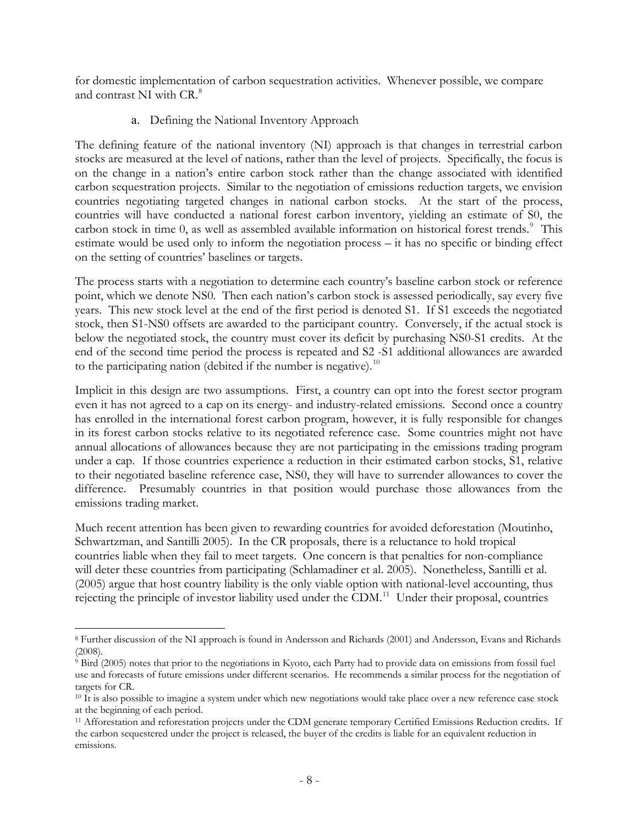for domestic implementation of carbon sequestration activities. Whenever possible, we compare and contrast NI with CR.<sup>[8](#page-13-0)</sup>

#### a. Defining the National Inventory Approach

The defining feature of the national inventory (NI) approach is that changes in terrestrial carbon stocks are measured at the level of nations, rather than the level of projects. Specifically, the focus is on the change in a nation's entire carbon stock rather than the change associated with identified carbon sequestration projects. Similar to the negotiation of emissions reduction targets, we envision countries negotiating targeted changes in national carbon stocks. At the start of the process, countries will have conducted a national forest carbon inventory, yielding an estimate of S0, the carbon stock in time 0, as well as assembled available information on historical forest trends.<sup>[9](#page-13-1)</sup> This estimate would be used only to inform the negotiation process  $-$  it has no specific or binding effect on the setting of countries^ baselines or targets.

The process starts with a negotiation to determine each country's baseline carbon stock or reference point, which we denote NS0. Then each nation's carbon stock is assessed periodically, say every five years. This new stock level at the end of the first period is denoted S1. If S1 exceeds the negotiated stock, then S1-NS0 offsets are awarded to the participant country. Conversely, if the actual stock is below the negotiated stock, the country must cover its deficit by purchasing NS0-S1 credits. At the end of the second time period the process is repeated and S2 -S1 additional allowances are awarded to the participating nation (debited if the number is negative).<sup>[10](#page-13-2)</sup>

Implicit in this design are two assumptions. First, a country can opt into the forest sector program even it has not agreed to a cap on its energy- and industry-related emissions. Second once a country has enrolled in the international forest carbon program, however, it is fully responsible for changes in its forest carbon stocks relative to its negotiated reference case. Some countries might not have annual allocations of allowances because they are not participating in the emissions trading program under a cap. If those countries experience a reduction in their estimated carbon stocks, S1, relative to their negotiated baseline reference case, NS0, they will have to surrender allowances to cover the difference. Presumably countries in that position would purchase those allowances from the emissions trading market.

Much recent attention has been given to rewarding countries for avoided deforestation (Moutinho, Schwartzman, and Santilli 2005). In the CR proposals, there is a reluctance to hold tropical countries liable when they fail to meet targets. One concern is that penalties for non-compliance will deter these countries from participating (Schlamadiner et al. 2005). Nonetheless, Santilli et al. (2005) argue that host country liability is the only viable option with national-level accounting, thus rejecting the principle of investor liability used under the CDM.<sup>[11](#page-13-3)</sup> Under their proposal, countries

 $\overline{a}$ 

<span id="page-13-0"></span><sup>8</sup> Further discussion of the NI approach is found in Andersson and Richards (2001) and Andersson, Evans and Richards (2008).

<span id="page-13-1"></span><sup>9</sup> Bird (2005) notes that prior to the negotiations in Kyoto, each Party had to provide data on emissions from fossil fuel use and forecasts of future emissions under different scenarios. He recommends a similar process for the negotiation of targets for CR.

<span id="page-13-2"></span><sup>&</sup>lt;sup>10</sup> It is also possible to imagine a system under which new negotiations would take place over a new reference case stock at the beginning of each period.

<span id="page-13-3"></span><sup>11</sup> Afforestation and reforestation projects under the CDM generate temporary Certified Emissions Reduction credits. If the carbon sequestered under the project is released, the buyer of the credits is liable for an equivalent reduction in emissions.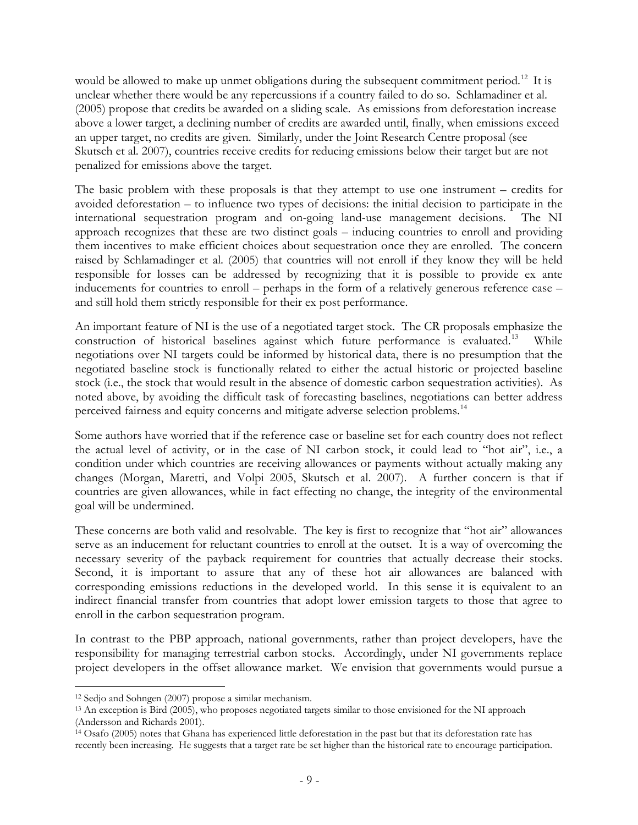would be allowed to make up unmet obligations during the subsequent commitment period.<sup>[12](#page-14-0)</sup> It is unclear whether there would be any repercussions if a country failed to do so. Schlamadiner et al. (2005) propose that credits be awarded on a sliding scale. As emissions from deforestation increase above a lower target, a declining number of credits are awarded until, finally, when emissions exceed an upper target, no credits are given. Similarly, under the Joint Research Centre proposal (see Skutsch et al. 2007), countries receive credits for reducing emissions below their target but are not penalized for emissions above the target.

The basic problem with these proposals is that they attempt to use one instrument  $-$  credits for avoided deforestation  $-$  to influence two types of decisions: the initial decision to participate in the international sequestration program and on-going land-use management decisions. The NI approach recognizes that these are two distinct goals – inducing countries to enroll and providing them incentives to make efficient choices about sequestration once they are enrolled. The concern raised by Schlamadinger et al. (2005) that countries will not enroll if they know they will be held responsible for losses can be addressed by recognizing that it is possible to provide ex ante inducements for countries to enroll  $-$  perhaps in the form of a relatively generous reference case  $$ and still hold them strictly responsible for their ex post performance.

An important feature of NI is the use of a negotiated target stock. The CR proposals emphasize the construction of historical baselines against which future performance is evaluated.<sup>[13](#page-14-1)</sup> While negotiations over NI targets could be informed by historical data, there is no presumption that the negotiated baseline stock is functionally related to either the actual historic or projected baseline stock (i.e., the stock that would result in the absence of domestic carbon sequestration activities). As noted above, by avoiding the difficult task of forecasting baselines, negotiations can better address perceived fairness and equity concerns and mitigate adverse selection problems.<sup>[14](#page-14-2)</sup>

Some authors have worried that if the reference case or baseline set for each country does not reflect the actual level of activity, or in the case of NI carbon stock, it could lead to "hot air", i.e., a condition under which countries are receiving allowances or payments without actually making any changes (Morgan, Maretti, and Volpi 2005, Skutsch et al. 2007). A further concern is that if countries are given allowances, while in fact effecting no change, the integrity of the environmental goal will be undermined.

These concerns are both valid and resolvable. The key is first to recognize that "hot air" allowances serve as an inducement for reluctant countries to enroll at the outset. It is a way of overcoming the necessary severity of the payback requirement for countries that actually decrease their stocks. Second, it is important to assure that any of these hot air allowances are balanced with corresponding emissions reductions in the developed world. In this sense it is equivalent to an indirect financial transfer from countries that adopt lower emission targets to those that agree to enroll in the carbon sequestration program.

In contrast to the PBP approach, national governments, rather than project developers, have the responsibility for managing terrestrial carbon stocks. Accordingly, under NI governments replace project developers in the offset allowance market. We envision that governments would pursue a

 $\overline{a}$ 

<span id="page-14-1"></span><span id="page-14-0"></span><sup>&</sup>lt;sup>12</sup> Sedjo and Sohngen (2007) propose a similar mechanism.<br><sup>13</sup> An exception is Bird (2005), who proposes negotiated targets similar to those envisioned for the NI approach (Andersson and Richards 2001).

<span id="page-14-2"></span><sup>14</sup> Osafo (2005) notes that Ghana has experienced little deforestation in the past but that its deforestation rate has recently been increasing. He suggests that a target rate be set higher than the historical rate to encourage participation.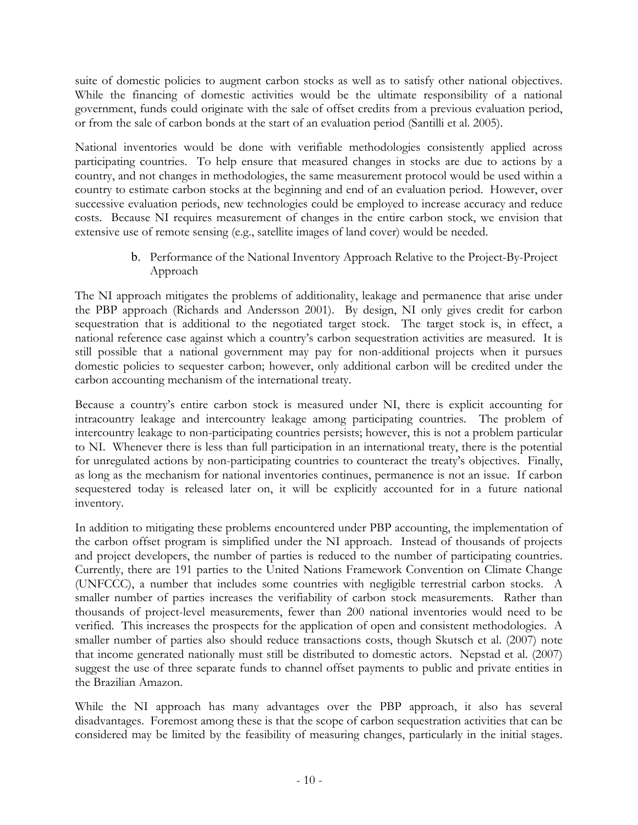suite of domestic policies to augment carbon stocks as well as to satisfy other national objectives. While the financing of domestic activities would be the ultimate responsibility of a national government, funds could originate with the sale of offset credits from a previous evaluation period, or from the sale of carbon bonds at the start of an evaluation period (Santilli et al. 2005).

National inventories would be done with verifiable methodologies consistently applied across participating countries. To help ensure that measured changes in stocks are due to actions by a country, and not changes in methodologies, the same measurement protocol would be used within a country to estimate carbon stocks at the beginning and end of an evaluation period. However, over successive evaluation periods, new technologies could be employed to increase accuracy and reduce costs. Because NI requires measurement of changes in the entire carbon stock, we envision that extensive use of remote sensing (e.g., satellite images of land cover) would be needed.

> b. Performance of the National Inventory Approach Relative to the Project-By-Project Approach

The NI approach mitigates the problems of additionality, leakage and permanence that arise under the PBP approach (Richards and Andersson 2001). By design, NI only gives credit for carbon sequestration that is additional to the negotiated target stock. The target stock is, in effect, a national reference case against which a country's carbon sequestration activities are measured. It is still possible that a national government may pay for non-additional projects when it pursues domestic policies to sequester carbon; however, only additional carbon will be credited under the carbon accounting mechanism of the international treaty.

Because a country's entire carbon stock is measured under NI, there is explicit accounting for intracountry leakage and intercountry leakage among participating countries. The problem of intercountry leakage to non-participating countries persists; however, this is not a problem particular to NI. Whenever there is less than full participation in an international treaty, there is the potential for unregulated actions by non-participating countries to counteract the treaty's objectives. Finally, as long as the mechanism for national inventories continues, permanence is not an issue. If carbon sequestered today is released later on, it will be explicitly accounted for in a future national inventory.

In addition to mitigating these problems encountered under PBP accounting, the implementation of the carbon offset program is simplified under the NI approach. Instead of thousands of projects and project developers, the number of parties is reduced to the number of participating countries. Currently, there are 191 parties to the United Nations Framework Convention on Climate Change (UNFCCC), a number that includes some countries with negligible terrestrial carbon stocks. A smaller number of parties increases the verifiability of carbon stock measurements. Rather than thousands of project-level measurements, fewer than 200 national inventories would need to be verified. This increases the prospects for the application of open and consistent methodologies. A smaller number of parties also should reduce transactions costs, though Skutsch et al. (2007) note that income generated nationally must still be distributed to domestic actors. Nepstad et al. (2007) suggest the use of three separate funds to channel offset payments to public and private entities in the Brazilian Amazon.

While the NI approach has many advantages over the PBP approach, it also has several disadvantages. Foremost among these is that the scope of carbon sequestration activities that can be considered may be limited by the feasibility of measuring changes, particularly in the initial stages.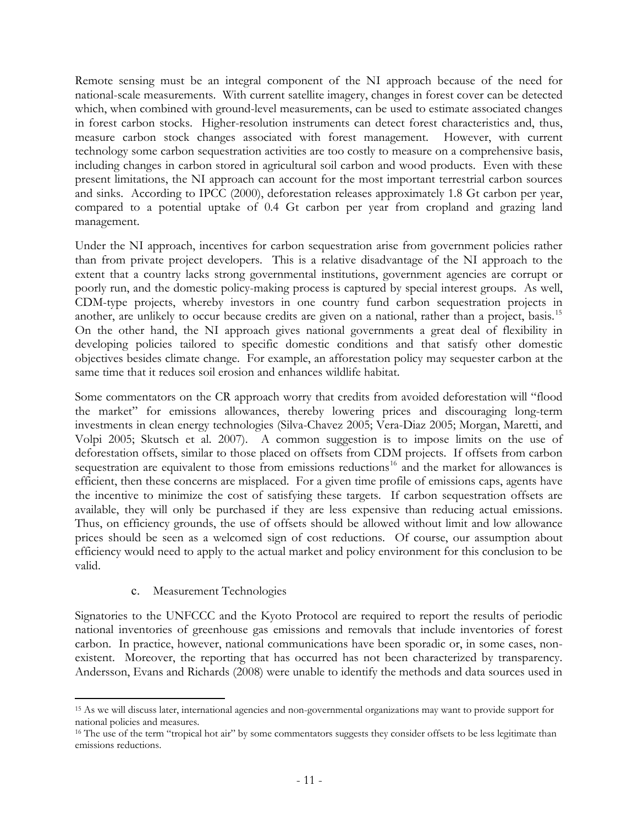Remote sensing must be an integral component of the NI approach because of the need for national-scale measurements. With current satellite imagery, changes in forest cover can be detected which, when combined with ground-level measurements, can be used to estimate associated changes in forest carbon stocks. Higher-resolution instruments can detect forest characteristics and, thus, measure carbon stock changes associated with forest management. However, with current technology some carbon sequestration activities are too costly to measure on a comprehensive basis, including changes in carbon stored in agricultural soil carbon and wood products. Even with these present limitations, the NI approach can account for the most important terrestrial carbon sources and sinks. According to IPCC (2000), deforestation releases approximately 1.8 Gt carbon per year, compared to a potential uptake of 0.4 Gt carbon per year from cropland and grazing land management.

Under the NI approach, incentives for carbon sequestration arise from government policies rather than from private project developers. This is a relative disadvantage of the NI approach to the extent that a country lacks strong governmental institutions, government agencies are corrupt or poorly run, and the domestic policy-making process is captured by special interest groups. As well, CDM-type projects, whereby investors in one country fund carbon sequestration projects in another, are unlikely to occur because credits are given on a national, rather than a project, basis.<sup>[15](#page-16-0)</sup> On the other hand, the NI approach gives national governments a great deal of flexibility in developing policies tailored to specific domestic conditions and that satisfy other domestic objectives besides climate change. For example, an afforestation policy may sequester carbon at the same time that it reduces soil erosion and enhances wildlife habitat.

Some commentators on the CR approach worry that credits from avoided deforestation will "flood the market" for emissions allowances, thereby lowering prices and discouraging long-term investments in clean energy technologies (Silva-Chavez 2005; Vera-Diaz 2005; Morgan, Maretti, and Volpi 2005; Skutsch et al. 2007). A common suggestion is to impose limits on the use of deforestation offsets, similar to those placed on offsets from CDM projects. If offsets from carbon sequestration are equivalent to those from emissions reductions<sup>[16](#page-16-1)</sup> and the market for allowances is efficient, then these concerns are misplaced. For a given time profile of emissions caps, agents have the incentive to minimize the cost of satisfying these targets. If carbon sequestration offsets are available, they will only be purchased if they are less expensive than reducing actual emissions. Thus, on efficiency grounds, the use of offsets should be allowed without limit and low allowance prices should be seen as a welcomed sign of cost reductions. Of course, our assumption about efficiency would need to apply to the actual market and policy environment for this conclusion to be valid.

#### c. Measurement Technologies

 $\overline{a}$ 

Signatories to the UNFCCC and the Kyoto Protocol are required to report the results of periodic national inventories of greenhouse gas emissions and removals that include inventories of forest carbon. In practice, however, national communications have been sporadic or, in some cases, nonexistent. Moreover, the reporting that has occurred has not been characterized by transparency. Andersson, Evans and Richards (2008) were unable to identify the methods and data sources used in

<span id="page-16-0"></span><sup>15</sup> As we will discuss later, international agencies and non-governmental organizations may want to provide support for national policies and measures.

<span id="page-16-1"></span><sup>&</sup>lt;sup>16</sup> The use of the term "tropical hot air" by some commentators suggests they consider offsets to be less legitimate than emissions reductions.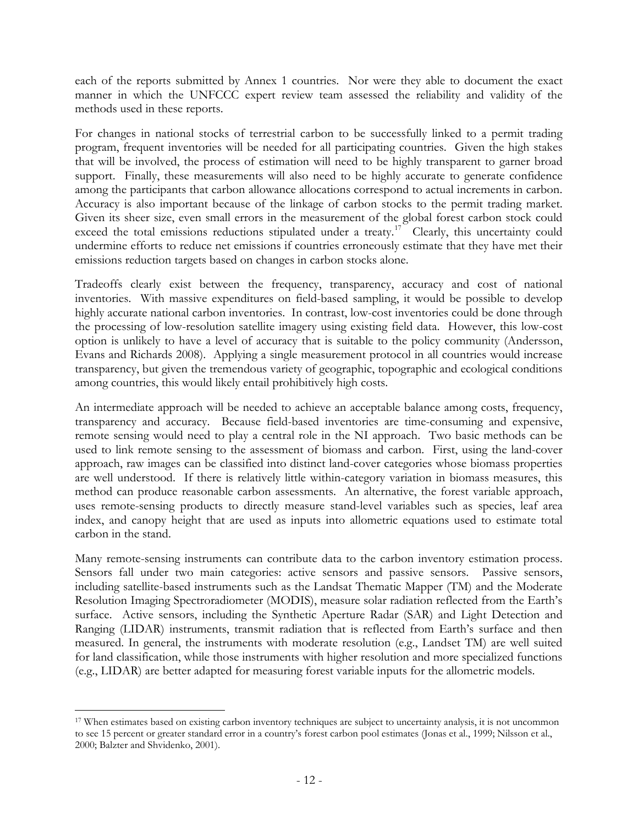each of the reports submitted by Annex 1 countries. Nor were they able to document the exact manner in which the UNFCCC expert review team assessed the reliability and validity of the methods used in these reports.

For changes in national stocks of terrestrial carbon to be successfully linked to a permit trading program, frequent inventories will be needed for all participating countries. Given the high stakes that will be involved, the process of estimation will need to be highly transparent to garner broad support. Finally, these measurements will also need to be highly accurate to generate confidence among the participants that carbon allowance allocations correspond to actual increments in carbon. Accuracy is also important because of the linkage of carbon stocks to the permit trading market. Given its sheer size, even small errors in the measurement of the global forest carbon stock could exceed the total emissions reductions stipulated under a treaty.<sup>[17](#page-17-0)</sup> Clearly, this uncertainty could undermine efforts to reduce net emissions if countries erroneously estimate that they have met their emissions reduction targets based on changes in carbon stocks alone.

Tradeoffs clearly exist between the frequency, transparency, accuracy and cost of national inventories. With massive expenditures on field-based sampling, it would be possible to develop highly accurate national carbon inventories. In contrast, low-cost inventories could be done through the processing of low-resolution satellite imagery using existing field data. However, this low-cost option is unlikely to have a level of accuracy that is suitable to the policy community (Andersson, Evans and Richards 2008). Applying a single measurement protocol in all countries would increase transparency, but given the tremendous variety of geographic, topographic and ecological conditions among countries, this would likely entail prohibitively high costs.

An intermediate approach will be needed to achieve an acceptable balance among costs, frequency, transparency and accuracy. Because field-based inventories are time-consuming and expensive, remote sensing would need to play a central role in the NI approach. Two basic methods can be used to link remote sensing to the assessment of biomass and carbon. First, using the land-cover approach, raw images can be classified into distinct land-cover categories whose biomass properties are well understood. If there is relatively little within-category variation in biomass measures, this method can produce reasonable carbon assessments. An alternative, the forest variable approach, uses remote-sensing products to directly measure stand-level variables such as species, leaf area index, and canopy height that are used as inputs into allometric equations used to estimate total carbon in the stand.

Many remote-sensing instruments can contribute data to the carbon inventory estimation process. Sensors fall under two main categories: active sensors and passive sensors. Passive sensors, including satellite-based instruments such as the Landsat Thematic Mapper (TM) and the Moderate Resolution Imaging Spectroradiometer (MODIS), measure solar radiation reflected from the Earth's surface. Active sensors, including the Synthetic Aperture Radar (SAR) and Light Detection and Ranging (LIDAR) instruments, transmit radiation that is reflected from Earth^s surface and then measured. In general, the instruments with moderate resolution (e.g., Landset TM) are well suited for land classification, while those instruments with higher resolution and more specialized functions (e.g., LIDAR) are better adapted for measuring forest variable inputs for the allometric models.

 $\overline{a}$ 

<span id="page-17-0"></span><sup>17</sup> When estimates based on existing carbon inventory techniques are subject to uncertainty analysis, it is not uncommon to see 15 percent or greater standard error in a country's forest carbon pool estimates (Jonas et al., 1999; Nilsson et al., 2000; Balzter and Shvidenko, 2001).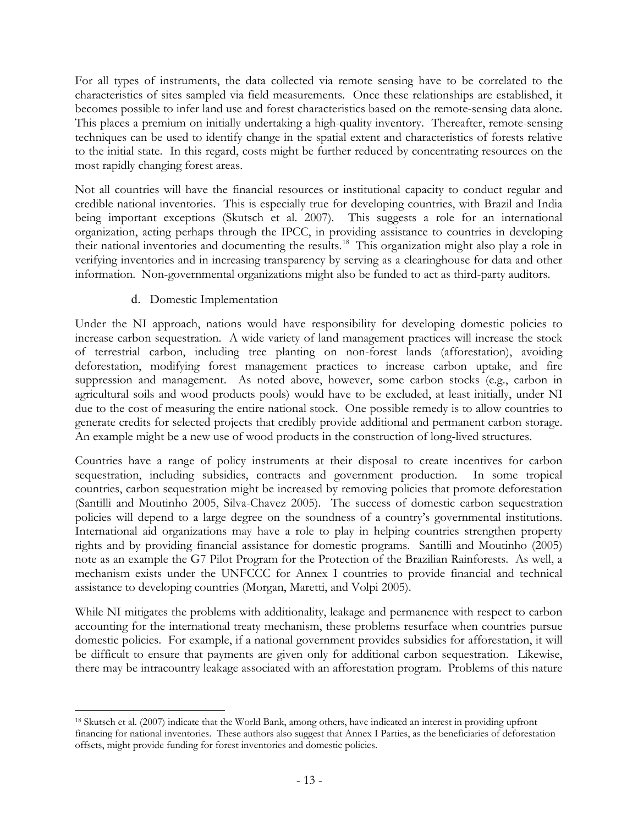For all types of instruments, the data collected via remote sensing have to be correlated to the characteristics of sites sampled via field measurements. Once these relationships are established, it becomes possible to infer land use and forest characteristics based on the remote-sensing data alone. This places a premium on initially undertaking a high-quality inventory. Thereafter, remote-sensing techniques can be used to identify change in the spatial extent and characteristics of forests relative to the initial state. In this regard, costs might be further reduced by concentrating resources on the most rapidly changing forest areas.

Not all countries will have the financial resources or institutional capacity to conduct regular and credible national inventories. This is especially true for developing countries, with Brazil and India being important exceptions (Skutsch et al. 2007). This suggests a role for an international organization, acting perhaps through the IPCC, in providing assistance to countries in developing their national inventories and documenting the results.[18](#page-18-0) This organization might also play a role in verifying inventories and in increasing transparency by serving as a clearinghouse for data and other information. Non-governmental organizations might also be funded to act as third-party auditors.

#### d. Domestic Implementation

Under the NI approach, nations would have responsibility for developing domestic policies to increase carbon sequestration. A wide variety of land management practices will increase the stock of terrestrial carbon, including tree planting on non-forest lands (afforestation), avoiding deforestation, modifying forest management practices to increase carbon uptake, and fire suppression and management. As noted above, however, some carbon stocks (e.g., carbon in agricultural soils and wood products pools) would have to be excluded, at least initially, under NI due to the cost of measuring the entire national stock. One possible remedy is to allow countries to generate credits for selected projects that credibly provide additional and permanent carbon storage. An example might be a new use of wood products in the construction of long-lived structures.

Countries have a range of policy instruments at their disposal to create incentives for carbon sequestration, including subsidies, contracts and government production. In some tropical countries, carbon sequestration might be increased by removing policies that promote deforestation (Santilli and Moutinho 2005, Silva-Chavez 2005). The success of domestic carbon sequestration policies will depend to a large degree on the soundness of a country's governmental institutions. International aid organizations may have a role to play in helping countries strengthen property rights and by providing financial assistance for domestic programs. Santilli and Moutinho (2005) note as an example the G7 Pilot Program for the Protection of the Brazilian Rainforests. As well, a mechanism exists under the UNFCCC for Annex I countries to provide financial and technical assistance to developing countries (Morgan, Maretti, and Volpi 2005).

While NI mitigates the problems with additionality, leakage and permanence with respect to carbon accounting for the international treaty mechanism, these problems resurface when countries pursue domestic policies. For example, if a national government provides subsidies for afforestation, it will be difficult to ensure that payments are given only for additional carbon sequestration. Likewise, there may be intracountry leakage associated with an afforestation program. Problems of this nature

<span id="page-18-0"></span> $\overline{a}$ 18 Skutsch et al. (2007) indicate that the World Bank, among others, have indicated an interest in providing upfront financing for national inventories. These authors also suggest that Annex I Parties, as the beneficiaries of deforestation offsets, might provide funding for forest inventories and domestic policies.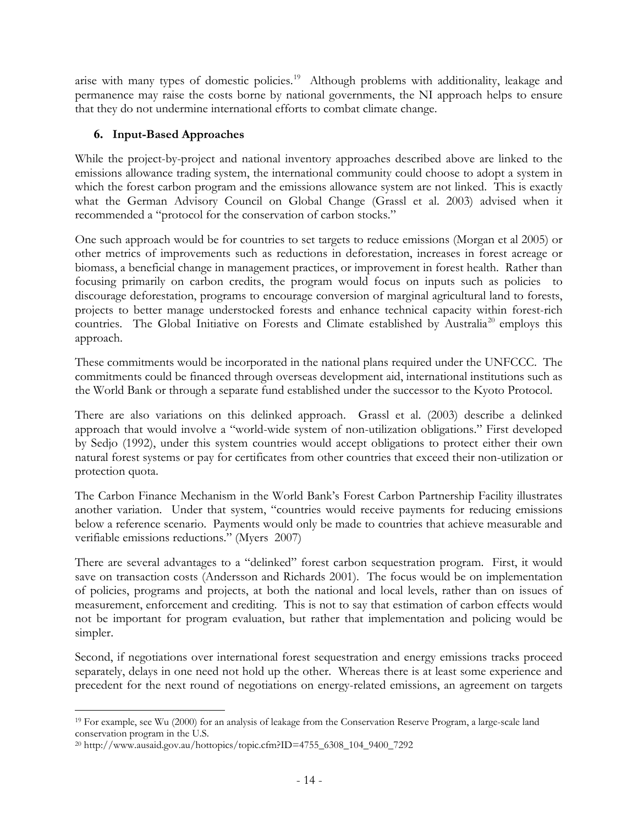arise with many types of domestic policies.<sup>[19](#page-19-0)</sup> Although problems with additionality, leakage and permanence may raise the costs borne by national governments, the NI approach helps to ensure that they do not undermine international efforts to combat climate change.

#### **6. Input-Based Approaches**

While the project-by-project and national inventory approaches described above are linked to the emissions allowance trading system, the international community could choose to adopt a system in which the forest carbon program and the emissions allowance system are not linked. This is exactly what the German Advisory Council on Global Change (Grassl et al. 2003) advised when it recommended a "protocol for the conservation of carbon stocks."

One such approach would be for countries to set targets to reduce emissions (Morgan et al 2005) or other metrics of improvements such as reductions in deforestation, increases in forest acreage or biomass, a beneficial change in management practices, or improvement in forest health. Rather than focusing primarily on carbon credits, the program would focus on inputs such as policies to discourage deforestation, programs to encourage conversion of marginal agricultural land to forests, projects to better manage understocked forests and enhance technical capacity within forest-rich countries. The Global Initiative on Forests and Climate established by Australia<sup>[20](#page-19-1)</sup> employs this approach.

These commitments would be incorporated in the national plans required under the UNFCCC. The commitments could be financed through overseas development aid, international institutions such as the World Bank or through a separate fund established under the successor to the Kyoto Protocol.

There are also variations on this delinked approach. Grassl et al. (2003) describe a delinked approach that would involve a "world-wide system of non-utilization obligations." First developed by Sedjo (1992), under this system countries would accept obligations to protect either their own natural forest systems or pay for certificates from other countries that exceed their non-utilization or protection quota.

The Carbon Finance Mechanism in the World Bank^s Forest Carbon Partnership Facility illustrates another variation. Under that system, "countries would receive payments for reducing emissions below a reference scenario. Payments would only be made to countries that achieve measurable and verifiable emissions reductions." (Myers 2007)

There are several advantages to a "delinked" forest carbon sequestration program. First, it would save on transaction costs (Andersson and Richards 2001). The focus would be on implementation of policies, programs and projects, at both the national and local levels, rather than on issues of measurement, enforcement and crediting. This is not to say that estimation of carbon effects would not be important for program evaluation, but rather that implementation and policing would be simpler.

Second, if negotiations over international forest sequestration and energy emissions tracks proceed separately, delays in one need not hold up the other. Whereas there is at least some experience and precedent for the next round of negotiations on energy-related emissions, an agreement on targets

<span id="page-19-0"></span> $\overline{a}$ 19 For example, see Wu (2000) for an analysis of leakage from the Conservation Reserve Program, a large-scale land conservation program in the U.S.

<span id="page-19-1"></span><sup>20</sup> http://www.ausaid.gov.au/hottopics/topic.cfm?ID=4755\_6308\_104\_9400\_7292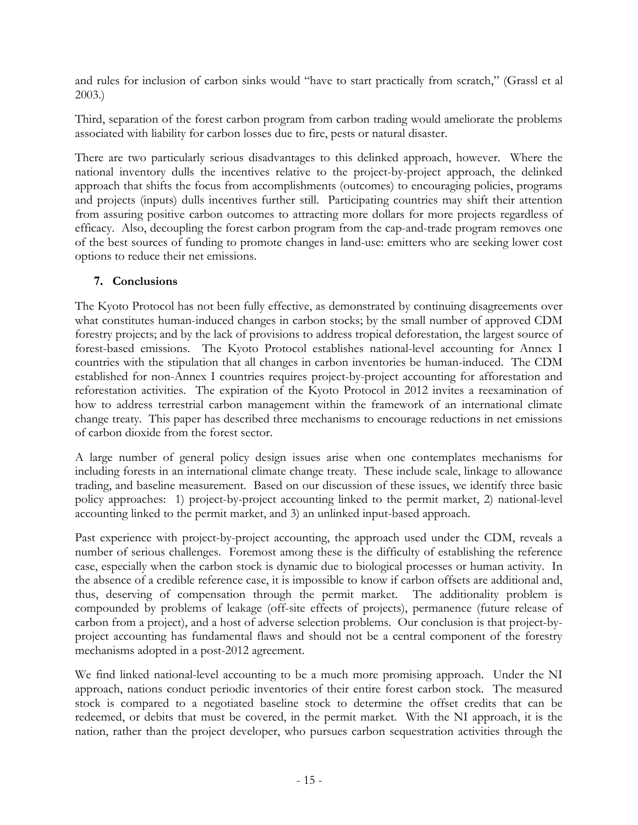and rules for inclusion of carbon sinks would "have to start practically from scratch," (Grassl et al 2003.)

Third, separation of the forest carbon program from carbon trading would ameliorate the problems associated with liability for carbon losses due to fire, pests or natural disaster.

There are two particularly serious disadvantages to this delinked approach, however. Where the national inventory dulls the incentives relative to the project-by-project approach, the delinked approach that shifts the focus from accomplishments (outcomes) to encouraging policies, programs and projects (inputs) dulls incentives further still. Participating countries may shift their attention from assuring positive carbon outcomes to attracting more dollars for more projects regardless of efficacy. Also, decoupling the forest carbon program from the cap-and-trade program removes one of the best sources of funding to promote changes in land-use: emitters who are seeking lower cost options to reduce their net emissions.

#### **7. Conclusions**

The Kyoto Protocol has not been fully effective, as demonstrated by continuing disagreements over what constitutes human-induced changes in carbon stocks; by the small number of approved CDM forestry projects; and by the lack of provisions to address tropical deforestation, the largest source of forest-based emissions. The Kyoto Protocol establishes national-level accounting for Annex I countries with the stipulation that all changes in carbon inventories be human-induced. The CDM established for non-Annex I countries requires project-by-project accounting for afforestation and reforestation activities. The expiration of the Kyoto Protocol in 2012 invites a reexamination of how to address terrestrial carbon management within the framework of an international climate change treaty. This paper has described three mechanisms to encourage reductions in net emissions of carbon dioxide from the forest sector.

A large number of general policy design issues arise when one contemplates mechanisms for including forests in an international climate change treaty. These include scale, linkage to allowance trading, and baseline measurement. Based on our discussion of these issues, we identify three basic policy approaches: 1) project-by-project accounting linked to the permit market, 2) national-level accounting linked to the permit market, and 3) an unlinked input-based approach.

Past experience with project-by-project accounting, the approach used under the CDM, reveals a number of serious challenges. Foremost among these is the difficulty of establishing the reference case, especially when the carbon stock is dynamic due to biological processes or human activity. In the absence of a credible reference case, it is impossible to know if carbon offsets are additional and, thus, deserving of compensation through the permit market. The additionality problem is compounded by problems of leakage (off-site effects of projects), permanence (future release of carbon from a project), and a host of adverse selection problems. Our conclusion is that project-byproject accounting has fundamental flaws and should not be a central component of the forestry mechanisms adopted in a post-2012 agreement.

We find linked national-level accounting to be a much more promising approach. Under the NI approach, nations conduct periodic inventories of their entire forest carbon stock. The measured stock is compared to a negotiated baseline stock to determine the offset credits that can be redeemed, or debits that must be covered, in the permit market. With the NI approach, it is the nation, rather than the project developer, who pursues carbon sequestration activities through the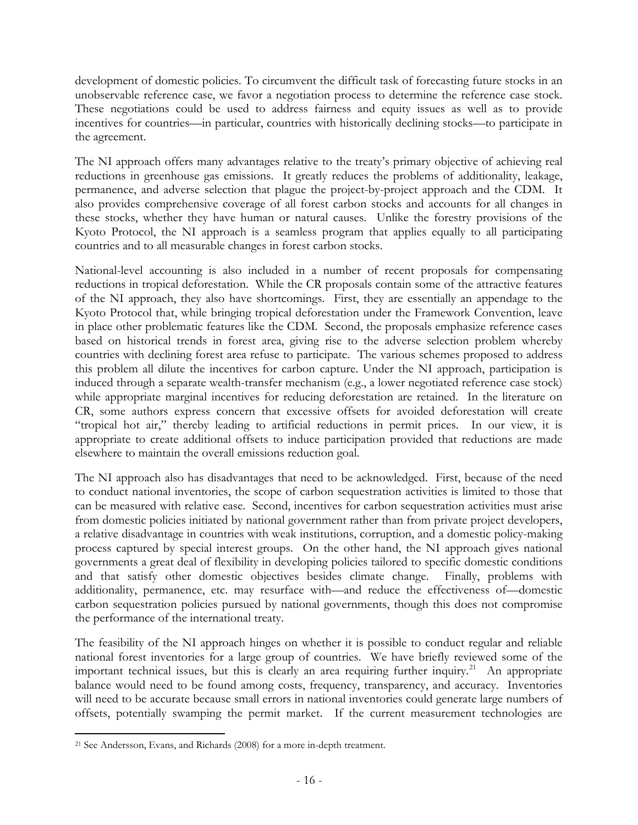development of domestic policies. To circumvent the difficult task of forecasting future stocks in an unobservable reference case, we favor a negotiation process to determine the reference case stock. These negotiations could be used to address fairness and equity issues as well as to provide incentives for countries—in particular, countries with historically declining stocks—to participate in the agreement.

The NI approach offers many advantages relative to the treaty's primary objective of achieving real reductions in greenhouse gas emissions. It greatly reduces the problems of additionality, leakage, permanence, and adverse selection that plague the project-by-project approach and the CDM. It also provides comprehensive coverage of all forest carbon stocks and accounts for all changes in these stocks, whether they have human or natural causes. Unlike the forestry provisions of the Kyoto Protocol, the NI approach is a seamless program that applies equally to all participating countries and to all measurable changes in forest carbon stocks.

National-level accounting is also included in a number of recent proposals for compensating reductions in tropical deforestation. While the CR proposals contain some of the attractive features of the NI approach, they also have shortcomings. First, they are essentially an appendage to the Kyoto Protocol that, while bringing tropical deforestation under the Framework Convention, leave in place other problematic features like the CDM. Second, the proposals emphasize reference cases based on historical trends in forest area, giving rise to the adverse selection problem whereby countries with declining forest area refuse to participate. The various schemes proposed to address this problem all dilute the incentives for carbon capture. Under the NI approach, participation is induced through a separate wealth-transfer mechanism (e.g., a lower negotiated reference case stock) while appropriate marginal incentives for reducing deforestation are retained. In the literature on CR, some authors express concern that excessive offsets for avoided deforestation will create "tropical hot air," thereby leading to artificial reductions in permit prices. In our view, it is appropriate to create additional offsets to induce participation provided that reductions are made elsewhere to maintain the overall emissions reduction goal.

The NI approach also has disadvantages that need to be acknowledged. First, because of the need to conduct national inventories, the scope of carbon sequestration activities is limited to those that can be measured with relative ease. Second, incentives for carbon sequestration activities must arise from domestic policies initiated by national government rather than from private project developers, a relative disadvantage in countries with weak institutions, corruption, and a domestic policy-making process captured by special interest groups. On the other hand, the NI approach gives national governments a great deal of flexibility in developing policies tailored to specific domestic conditions and that satisfy other domestic objectives besides climate change. Finally, problems with additionality, permanence, etc. may resurface with—and reduce the effectiveness of—domestic carbon sequestration policies pursued by national governments, though this does not compromise the performance of the international treaty.

The feasibility of the NI approach hinges on whether it is possible to conduct regular and reliable national forest inventories for a large group of countries. We have briefly reviewed some of the important technical issues, but this is clearly an area requiring further inquiry.<sup>[21](#page-21-0)</sup> An appropriate balance would need to be found among costs, frequency, transparency, and accuracy. Inventories will need to be accurate because small errors in national inventories could generate large numbers of offsets, potentially swamping the permit market. If the current measurement technologies are

 $\overline{a}$ 

<span id="page-21-0"></span><sup>21</sup> See Andersson, Evans, and Richards (2008) for a more in-depth treatment.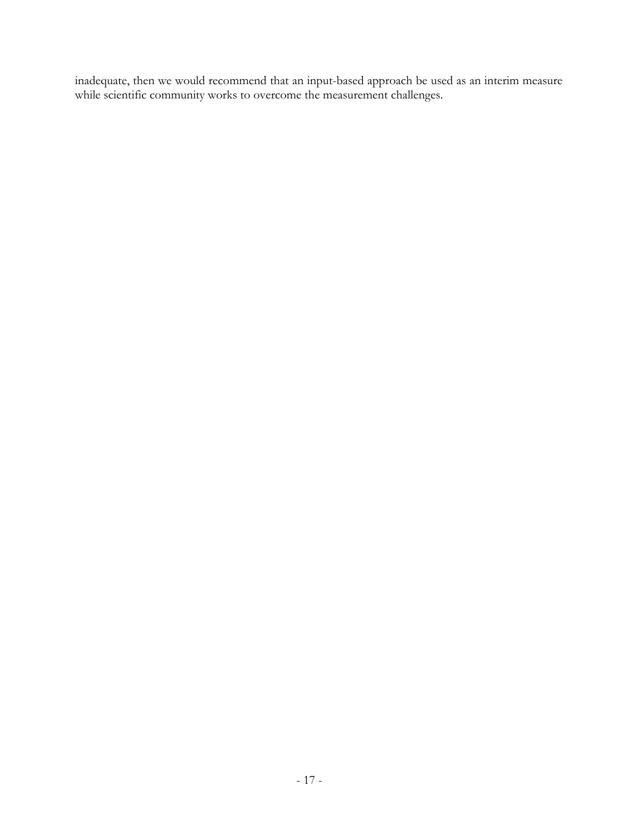inadequate, then we would recommend that an input-based approach be used as an interim measure while scientific community works to overcome the measurement challenges.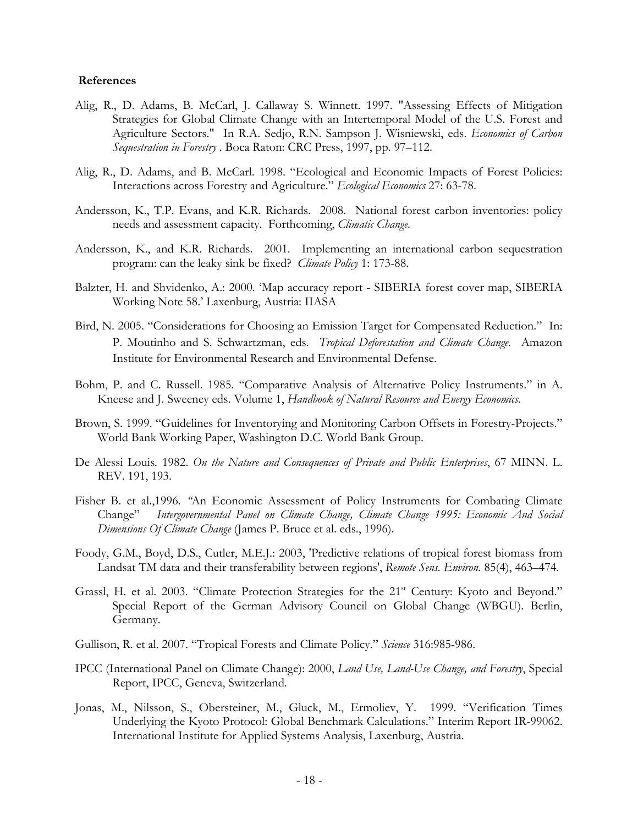#### **References**

- Alig, R., D. Adams, B. McCarl, J. Callaway S. Winnett. 1997. "Assessing Effects of Mitigation Strategies for Global Climate Change with an Intertemporal Model of the U.S. Forest and Agriculture Sectors." In R.A. Sedjo, R.N. Sampson J. Wisniewski, eds. *Economics of Carbon Sequestration in Forestry* . Boca Raton: CRC Press, 1997, pp. 97-112.
- Alig, R., D. Adams, and B. McCarl. 1998. "Ecological and Economic Impacts of Forest Policies: Interactions across Forestry and Agriculture.] *Ecological Economics* 27: 63-78.
- Andersson, K., T.P. Evans, and K.R. Richards. 2008. National forest carbon inventories: policy needs and assessment capacity. Forthcoming, *Climatic Change*.
- Andersson, K., and K.R. Richards. 2001. Implementing an international carbon sequestration program: can the leaky sink be fixed? *Climate Policy* 1: 173-88.
- Balzter, H. and Shvidenko, A.: 2000. 'Map accuracy report SIBERIA forest cover map, SIBERIA Working Note 58.^ Laxenburg, Austria: IIASA
- Bird, N. 2005. "Considerations for Choosing an Emission Target for Compensated Reduction." In: P. Moutinho and S. Schwartzman, eds. *Tropical Deforestation and Climate Change.* Amazon Institute for Environmental Research and Environmental Defense.
- Bohm, P. and C. Russell. 1985. "Comparative Analysis of Alternative Policy Instruments." in A. Kneese and J. Sweeney eds. Volume 1, *Handbook of Natural Resource and Energy Economics.*
- Brown, S. 1999. "Guidelines for Inventorying and Monitoring Carbon Offsets in Forestry-Projects." World Bank Working Paper, Washington D.C. World Bank Group.
- De Alessi Louis*.* 1982. *On the Nature and Consequences of Private and Public Enterprises*, 67 MINN. L. REV. 191, 193.
- Fisher B. et al.,1996. "An Economic Assessment of Policy Instruments for Combating Climate Change] *Intergovernmental Panel on Climate Change, Climate Change 1995: Economic And Social Dimensions Of Climate Change* (James P. Bruce et al. eds., 1996).
- Foody, G.M., Boyd, D.S., Cutler, M.E.J.: 2003, 'Predictive relations of tropical forest biomass from Landsat TM data and their transferability between regions', *Remote Sens. Environ.* 85(4), 463-474.
- Grassl, H. et al. 2003. "Climate Protection Strategies for the 21<sup>st</sup> Century: Kyoto and Beyond." Special Report of the German Advisory Council on Global Change (WBGU). Berlin, Germany.
- Gullison, R. et al. 2007. \Tropical Forests and Climate Policy.] *Science* 316:985-986.
- IPCC (International Panel on Climate Change): 2000, *Land Use, Land-Use Change, and Forestry*, Special Report, IPCC, Geneva, Switzerland.
- Jonas, M., Nilsson, S., Obersteiner, M., Gluck, M., Ermoliev, Y. 1999. "Verification Times Underlying the Kyoto Protocol: Global Benchmark Calculations." Interim Report IR-99062. International Institute for Applied Systems Analysis, Laxenburg, Austria.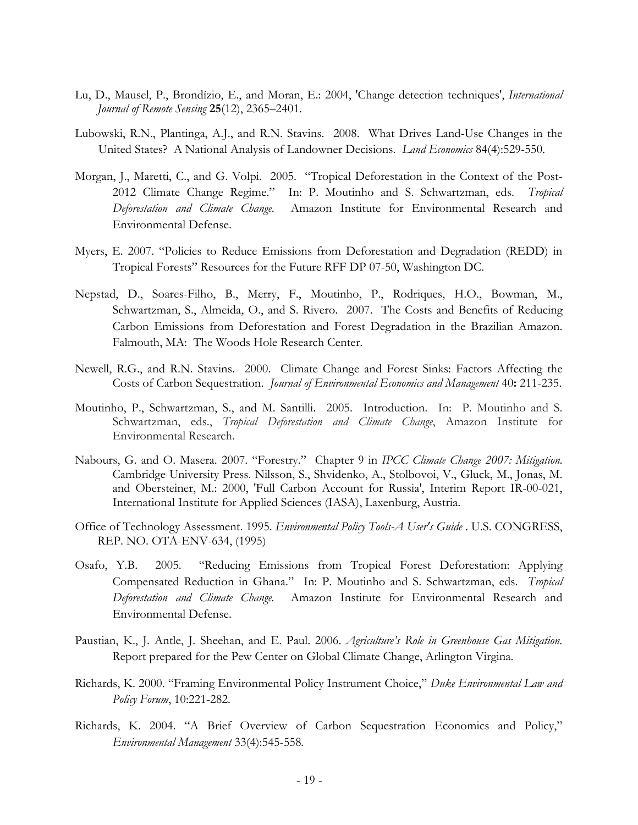- Lu, D., Mausel, P., Brondízio, E., and Moran, E.: 2004, 'Change detection techniques', *International Journal of Remote Sensing* 25(12), 2365-2401.
- Lubowski, R.N., Plantinga, A.J., and R.N. Stavins. 2008. What Drives Land-Use Changes in the United States? A National Analysis of Landowner Decisions. *Land Economics* 84(4):529-550.
- Morgan, J., Maretti, C., and G. Volpi. 2005. "Tropical Deforestation in the Context of the Post-2012 Climate Change Regime.] In: P. Moutinho and S. Schwartzman, eds. *Tropical Deforestation and Climate Change*. Amazon Institute for Environmental Research and Environmental Defense.
- Myers, E. 2007. "Policies to Reduce Emissions from Deforestation and Degradation (REDD) in Tropical Forests" Resources for the Future RFF DP 07-50, Washington DC.
- Nepstad, D., Soares-Filho, B., Merry, F., Moutinho, P., Rodriques, H.O., Bowman, M., Schwartzman, S., Almeida, O., and S. Rivero. 2007. The Costs and Benefits of Reducing Carbon Emissions from Deforestation and Forest Degradation in the Brazilian Amazon. Falmouth, MA: The Woods Hole Research Center.
- Newell, R.G., and R.N. Stavins. 2000. Climate Change and Forest Sinks: Factors Affecting the Costs of Carbon Sequestration. *Journal of Environmental Economics and Management* 40**:** 211-235.
- Moutinho, P., Schwartzman, S., and M. Santilli. 2005. Introduction. In: P. Moutinho and S. Schwartzman, eds., *Tropical Deforestation and Climate Change*, Amazon Institute for Environmental Research.
- Nabours, G. and O. Masera. 2007. "Forestry." Chapter 9 in *IPCC Climate Change 2007: Mitigation*. Cambridge University Press. Nilsson, S., Shvidenko, A., Stolbovoi, V., Gluck, M., Jonas, M. and Obersteiner, M.: 2000, 'Full Carbon Account for Russia', Interim Report IR-00-021, International Institute for Applied Sciences (IASA), Laxenburg, Austria.
- Office of Technology Assessment. 1995. *Environmental Policy Tools-A User's Guide* . U.S. CONGRESS, REP. NO. OTA-ENV-634, (1995)
- Osafo, Y.B. 2005. "Reducing Emissions from Tropical Forest Deforestation: Applying Compensated Reduction in Ghana." In: P. Moutinho and S. Schwartzman, eds. *Tropical Deforestation and Climate Change.* Amazon Institute for Environmental Research and Environmental Defense.
- Paustian, K., J. Antle, J. Sheehan, and E. Paul. 2006. *Agriculture's Role in Greenhouse Gas Mitigation*. Report prepared for the Pew Center on Global Climate Change, Arlington Virgina.
- Richards, K. 2000. "Framing Environmental Policy Instrument Choice," *Duke Environmental Law and Policy Forum*, 10:221-282.
- Richards, K. 2004. "A Brief Overview of Carbon Sequestration Economics and Policy," *Environmental Management* 33(4):545-558*.*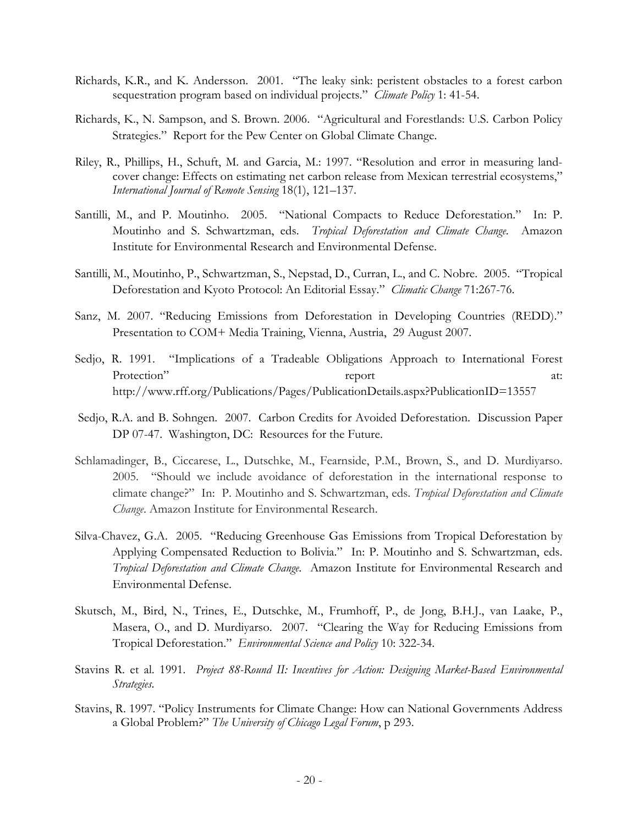- Richards, K.R., and K. Andersson. 2001. "The leaky sink: peristent obstacles to a forest carbon sequestration program based on individual projects." *Climate Policy* 1: 41-54.
- Richards, K., N. Sampson, and S. Brown. 2006. "Agricultural and Forestlands: U.S. Carbon Policy Strategies." Report for the Pew Center on Global Climate Change.
- Riley, R., Phillips, H., Schuft, M. and Garcia, M.: 1997. "Resolution and error in measuring landcover change: Effects on estimating net carbon release from Mexican terrestrial ecosystems," *International Journal of Remote Sensing* 18(1), 121-137.
- Santilli, M., and P. Moutinho. 2005. "National Compacts to Reduce Deforestation." In: P. Moutinho and S. Schwartzman, eds. *Tropical Deforestation and Climate Change*. Amazon Institute for Environmental Research and Environmental Defense.
- Santilli, M., Moutinho, P., Schwartzman, S., Nepstad, D., Curran, L., and C. Nobre. 2005. "Tropical Deforestation and Kyoto Protocol: An Editorial Essay." *Climatic Change* 71:267-76.
- Sanz, M. 2007. "Reducing Emissions from Deforestation in Developing Countries (REDD)." Presentation to COM+ Media Training, Vienna, Austria, 29 August 2007.
- Sedjo, R. 1991. "Implications of a Tradeable Obligations Approach to International Forest Protection" report at: http://www.rff.org/Publications/Pages/PublicationDetails.aspx?PublicationID=13557
- Sedjo, R.A. and B. Sohngen. 2007. Carbon Credits for Avoided Deforestation. Discussion Paper DP 07-47. Washington, DC: Resources for the Future.
- Schlamadinger, B., Ciccarese, L., Dutschke, M., Fearnside, P.M., Brown, S., and D. Murdiyarso. 2005. "Should we include avoidance of deforestation in the international response to climate change?" In: P. Moutinho and S. Schwartzman, eds. *Tropical Deforestation and Climate Change*. Amazon Institute for Environmental Research.
- Silva-Chavez, G.A. 2005. "Reducing Greenhouse Gas Emissions from Tropical Deforestation by Applying Compensated Reduction to Bolivia." In: P. Moutinho and S. Schwartzman, eds. *Tropical Deforestation and Climate Change*. Amazon Institute for Environmental Research and Environmental Defense.
- Skutsch, M., Bird, N., Trines, E., Dutschke, M., Frumhoff, P., de Jong, B.H.J., van Laake, P., Masera, O., and D. Murdiyarso. 2007. "Clearing the Way for Reducing Emissions from Tropical Deforestation.] *Environmental Science and Policy* 10: 322-34.
- Stavins R. et al. 1991. *Project 88-Round II: Incentives for Action: Designing Market-Based Environmental Strategies*.
- Stavins, R. 1997. "Policy Instruments for Climate Change: How can National Governments Address a Global Problem?] *The University of Chicago Legal Forum*, p 293.